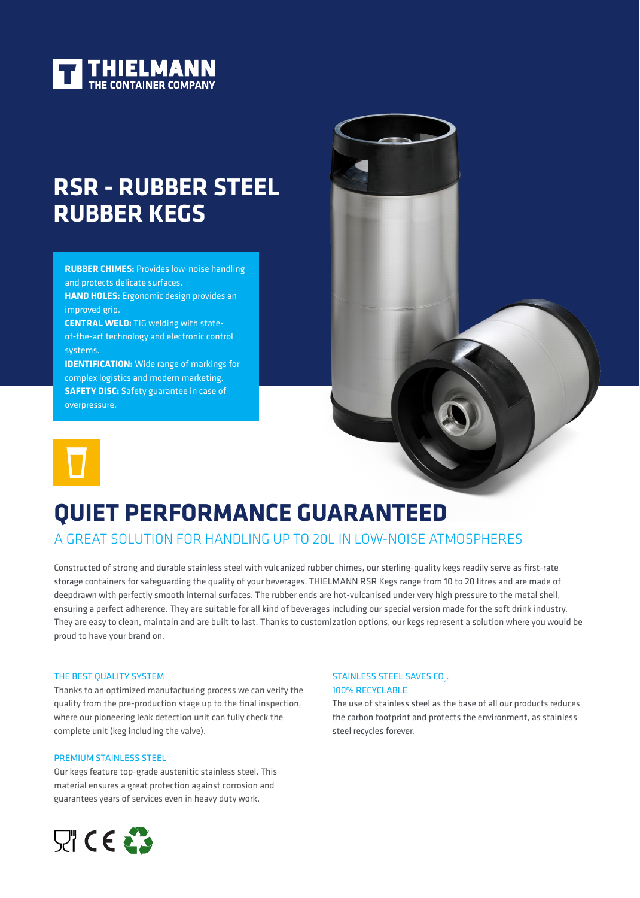

# **RSR - RUBBER STEEL RUBBER KEGS**

**RUBBER CHIMES:** Provides low-noise handling and protects delicate surfaces. **HAND HOLES:** Ergonomic design provides an

improved grip.

**CENTRAL WELD:** TIG welding with stateof-the-art technology and electronic control systems.

**IDENTIFICATION:** Wide range of markings for complex logistics and modern marketing. **SAFETY DISC:** Safety guarantee in case of overpressure.



# **QUIET PERFORMANCE GUARANTEED**

# A GREAT SOLUTION FOR HANDLING UP TO 20L IN LOW-NOISE ATMOSPHERES

Constructed of strong and durable stainless steel with vulcanized rubber chimes, our sterling-quality kegs readily serve as first-rate storage containers for safeguarding the quality of your beverages. THIELMANN RSR Kegs range from 10 to 20 litres and are made of deepdrawn with perfectly smooth internal surfaces. The rubber ends are hot-vulcanised under very high pressure to the metal shell, ensuring a perfect adherence. They are suitable for all kind of beverages including our special version made for the soft drink industry. They are easy to clean, maintain and are built to last. Thanks to customization options, our kegs represent a solution where you would be proud to have your brand on.

#### THE BEST QUALITY SYSTEM

Thanks to an optimized manufacturing process we can verify the quality from the pre-production stage up to the final inspection, where our pioneering leak detection unit can fully check the complete unit (keg including the valve).

#### PREMIUM STAINLESS STEEL

Our kegs feature top-grade austenitic stainless steel. This material ensures a great protection against corrosion and guarantees years of services even in heavy duty work.



### STAINLESS STEEL SAVES CO<sub>2</sub>. 100% RECYCLABLE

The use of stainless steel as the base of all our products reduces the carbon footprint and protects the environment, as stainless steel recycles forever.